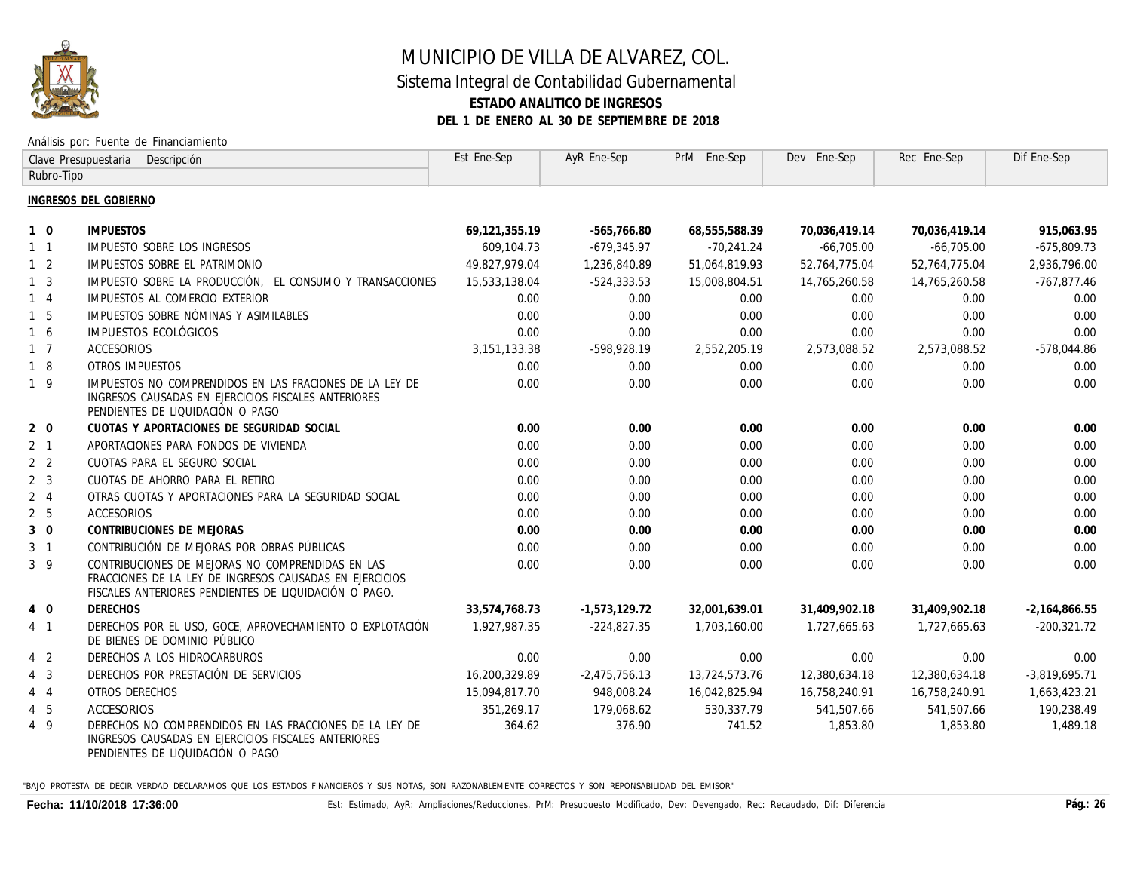

# MUNICIPIO DE VILLA DE ALVAREZ, COL.

#### Sistema Integral de Contabilidad Gubernamental **ESTADO ANALITICO DE INGRESOS DEL 1 DE ENERO AL 30 DE SEPTIEMBRE DE 2018**

#### Análisis por: Fuente de Financiamiento

| Clave Presupuestaria<br>Descripción |                                                                                                                                                                      | Est Ene-Sep    | AyR Ene-Sep    | PrM Ene-Sep   | Dev Ene-Sep   | Rec Ene-Sep   | Dif Ene-Sep     |
|-------------------------------------|----------------------------------------------------------------------------------------------------------------------------------------------------------------------|----------------|----------------|---------------|---------------|---------------|-----------------|
| Rubro-Tipo                          |                                                                                                                                                                      |                |                |               |               |               |                 |
|                                     | INGRESOS DEL GOBIERNO                                                                                                                                                |                |                |               |               |               |                 |
| $1\quad$ 0                          | <b>IMPUESTOS</b>                                                                                                                                                     | 69,121,355.19  | -565,766.80    | 68,555,588.39 | 70,036,419.14 | 70.036.419.14 | 915,063.95      |
| $1\quad1$                           | <b>IMPUESTO SOBRE LOS INGRESOS</b>                                                                                                                                   | 609,104.73     | -679,345.97    | -70,241.24    | -66,705.00    | -66,705.00    | -675,809.73     |
| $1\quad 2$                          | IMPUESTOS SOBRE EL PATRIMONIO                                                                                                                                        | 49,827,979.04  | 1,236,840.89   | 51,064,819.93 | 52,764,775.04 | 52,764,775.04 | 2,936,796.00    |
| 1 <sub>3</sub>                      | IMPUESTO SOBRE LA PRODUCCIÓN. EL CONSUMO Y TRANSACCIONES                                                                                                             | 15,533,138.04  | $-524, 333.53$ | 15,008,804.51 | 14,765,260.58 | 14,765,260.58 | $-767,877.46$   |
| $1\quad 4$                          | IMPUESTOS AL COMERCIO EXTERIOR                                                                                                                                       | 0.00           | 0.00           | 0.00          | 0.00          | 0.00          | 0.00            |
| $1\quad5$                           | IMPUESTOS SOBRE NÓMINAS Y ASIMILABLES                                                                                                                                | 0.00           | 0.00           | 0.00          | 0.00          | 0.00          | 0.00            |
| 1 6                                 | IMPUESTOS ECOLÓGICOS                                                                                                                                                 | 0.00           | 0.00           | 0.00          | 0.00          | 0.00          | 0.00            |
| 1 7                                 | ACCESORIOS                                                                                                                                                           | 3, 151, 133.38 | -598,928.19    | 2,552,205.19  | 2,573,088.52  | 2,573,088.52  | -578,044.86     |
| $1\quad 8$                          | OTROS IMPUESTOS                                                                                                                                                      | 0.00           | 0.00           | 0.00          | 0.00          | 0.00          | 0.00            |
| $1 \overline{9}$                    | IMPUESTOS NO COMPRENDIDOS EN LAS FRACIONES DE LA LEY DE<br>INGRESOS CAUSADAS EN EJERCICIOS FISCALES ANTERIORES<br>PENDIENTES DE LIQUIDACIÓN O PAGO                   | 0.00           | 0.00           | 0.00          | 0.00          | 0.00          | 0.00            |
| $2\quad 0$                          | CUOTAS Y APORTACIONES DE SEGURIDAD SOCIAL                                                                                                                            | 0.00           | 0.00           | 0.00          | 0.00          | 0.00          | 0.00            |
| 2 <sub>1</sub>                      | APORTACIONES PARA FONDOS DE VIVIENDA                                                                                                                                 | 0.00           | 0.00           | 0.00          | 0.00          | 0.00          | 0.00            |
| 2 <sub>2</sub>                      | CUOTAS PARA EL SEGURO SOCIAL                                                                                                                                         | 0.00           | 0.00           | 0.00          | 0.00          | 0.00          | 0.00            |
| 2 <sub>3</sub>                      | CUOTAS DE AHORRO PARA EL RETIRO                                                                                                                                      | 0.00           | 0.00           | 0.00          | 0.00          | 0.00          | 0.00            |
| $2 \quad 4$                         | OTRAS CUOTAS Y APORTACIONES PARA LA SEGURIDAD SOCIAL                                                                                                                 | 0.00           | 0.00           | 0.00          | 0.00          | 0.00          | 0.00            |
| 2 <sub>5</sub>                      | ACCESORIOS                                                                                                                                                           | 0.00           | 0.00           | 0.00          | 0.00          | 0.00          | 0.00            |
| $3 \quad 0$                         | CONTRIBUCIONES DE MEJORAS                                                                                                                                            | 0.00           | 0.00           | 0.00          | 0.00          | 0.00          | 0.00            |
| 3 1                                 | CONTRIBUCIÓN DE MEJORAS POR OBRAS PÚBLICAS                                                                                                                           | 0.00           | 0.00           | 0.00          | 0.00          | 0.00          | 0.00            |
| $3 \overline{9}$                    | CONTRIBUCIONES DE MEJORAS NO COMPRENDIDAS EN LAS<br>FRACCIONES DE LA LEY DE INGRESOS CAUSADAS EN EJERCICIOS<br>FISCALES ANTERIORES PENDIENTES DE LIQUIDACIÓN O PAGO. | 0.00           | 0.00           | 0.00          | 0.00          | 0.00          | 0.00            |
| 4 0                                 | <b>DERECHOS</b>                                                                                                                                                      | 33,574,768.73  | -1,573,129.72  | 32,001,639.01 | 31,409,902.18 | 31,409,902.18 | $-2,164,866.55$ |
| 4 1                                 | DERECHOS POR EL USO, GOCE, APROVECHAMIENTO O EXPLOTACIÓN<br>DE BIENES DE DOMINIO PÚBLICO                                                                             | 1,927,987,35   | -224,827.35    | 1,703,160.00  | 1,727,665.63  | 1,727,665.63  | $-200, 321.72$  |
| 4 2                                 | DERECHOS A LOS HIDROCARBUROS                                                                                                                                         | 0.00           | 0.00           | 0.00          | 0.00          | 0.00          | 0.00            |
| $4 \quad 3$                         | DERECHOS POR PRESTACIÓN DE SERVICIOS                                                                                                                                 | 16,200,329,89  | -2,475,756.13  | 13,724,573.76 | 12,380,634,18 | 12,380,634,18 | -3,819,695.71   |
| 4 4                                 | OTROS DERECHOS                                                                                                                                                       | 15,094,817.70  | 948,008.24     | 16,042,825.94 | 16,758,240.91 | 16,758,240.91 | 1,663,423.21    |
| $4\quad5$                           | ACCESORIOS                                                                                                                                                           | 351,269.17     | 179,068.62     | 530,337.79    | 541,507.66    | 541,507.66    | 190.238.49      |
| 4 9                                 | DERECHOS NO COMPRENDIDOS EN LAS FRACCIONES DE LA LEY DE<br>INGRESOS CAUSADAS EN EJERCICIOS FISCALES ANTERIORES<br>PENDIENTES DE LIQUIDACIÓN O PAGO                   | 364.62         | 376.90         | 741.52        | 1,853.80      | 1,853.80      | 1,489.18        |

"BAJO PROTESTA DE DECIR VERDAD DECLARAMOS QUE LOS ESTADOS FINANCIEROS Y SUS NOTAS, SON RAZONABLEMENTE CORRECTOS Y SON REPONSABILIDAD DEL EMISOR"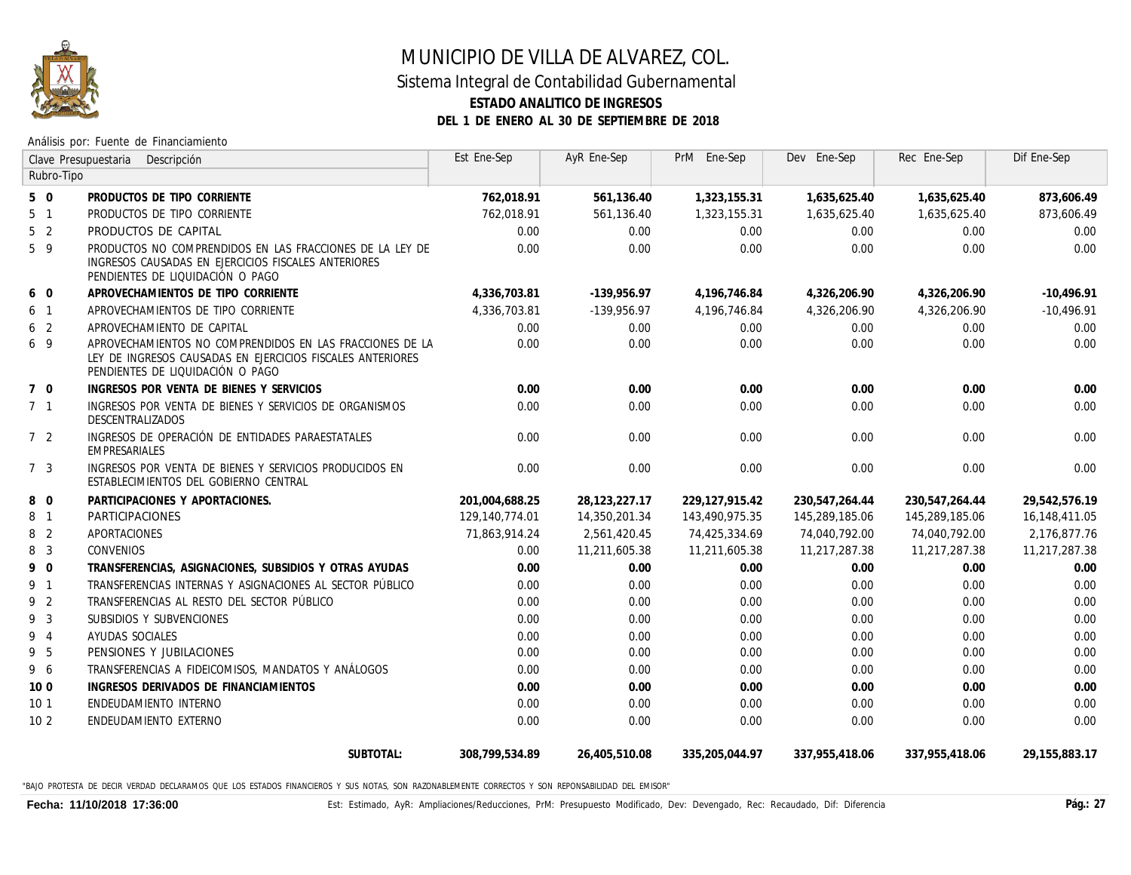

## MUNICIPIO DE VILLA DE ALVAREZ, COL.

### Sistema Integral de Contabilidad Gubernamental **ESTADO ANALITICO DE INGRESOS**

**DEL 1 DE ENERO AL 30 DE SEPTIEMBRE DE 2018**

Análisis por: Fuente de Financiamiento

| Clave Presupuestaria<br>Descripción |                                                                                                                                                            | Est Ene-Sep      | AyR Ene-Sep   | PrM Ene-Sep    | Dev Ene-Sep    | Rec Ene-Sep    | Dif Ene-Sep      |
|-------------------------------------|------------------------------------------------------------------------------------------------------------------------------------------------------------|------------------|---------------|----------------|----------------|----------------|------------------|
| Rubro-Tipo                          |                                                                                                                                                            |                  |               |                |                |                |                  |
| $5\quad0$                           | PRODUCTOS DE TIPO CORRIENTE                                                                                                                                | 762,018.91       | 561,136.40    | 1,323,155.31   | 1,635,625.40   | 1,635,625.40   | 873,606.49       |
| 5 <sub>1</sub>                      | PRODUCTOS DE TIPO CORRIENTE                                                                                                                                | 762,018.91       | 561,136.40    | 1,323,155.31   | 1,635,625.40   | 1,635,625.40   | 873,606.49       |
| 5 <sub>2</sub>                      | PRODUCTOS DE CAPITAL                                                                                                                                       | 0.00             | 0.00          | 0.00           | 0.00           | 0.00           | 0.00             |
| 5 9                                 | PRODUCTOS NO COMPRENDIDOS EN LAS FRACCIONES DE LA LEY DE<br>INGRESOS CAUSADAS EN EJERCICIOS FISCALES ANTERIORES<br>PENDIENTES DE LIQUIDACIÓN O PAGO        | 0.00             | 0.00          | 0.00           | 0.00           | 0.00           | 0.00             |
| 6 0                                 | APROVECHAMIENTOS DE TIPO CORRIENTE                                                                                                                         | 4,336,703.81     | $-139,956.97$ | 4,196,746.84   | 4,326,206.90   | 4,326,206.90   | $-10,496.91$     |
| 6 1                                 | APROVECHAMIENTOS DE TIPO CORRIENTE                                                                                                                         | 4,336,703.81     | -139,956,97   | 4,196,746.84   | 4,326,206.90   | 4,326,206.90   | -10,496.91       |
| 6 <sub>2</sub>                      | APROVECHAMIENTO DE CAPITAL                                                                                                                                 | 0.00             | 0.00          | 0.00           | 0.00           | 0.00           | 0.00             |
| 6 9                                 | APROVECHAMIENTOS NO COMPRENDIDOS EN LAS FRACCIONES DE LA<br>LEY DE INGRESOS CAUSADAS EN EJERCICIOS FISCALES ANTERIORES<br>PENDIENTES DE LIQUIDACIÓN O PAGO | 0.00             | 0.00          | 0.00           | 0.00           | 0.00           | 0.00             |
| $7\quad0$                           | INGRESOS POR VENTA DE BIENES Y SERVICIOS                                                                                                                   | 0.00             | 0.00          | 0.00           | 0.00           | 0.00           | 0.00             |
| 7 <sub>1</sub>                      | INGRESOS POR VENTA DE BIENES Y SERVICIOS DE ORGANISMOS<br>DESCENTRALIZADOS                                                                                 | 0.00             | 0.00          | 0.00           | 0.00           | 0.00           | 0.00             |
| 7 <sup>2</sup>                      | INGRESOS DE OPERACIÓN DE ENTIDADES PARAESTATALES<br>EMPRESARIALES                                                                                          | 0.00             | 0.00          | 0.00           | 0.00           | 0.00           | 0.00             |
| 7 3                                 | INGRESOS POR VENTA DE BIENES Y SERVICIOS PRODUCIDOS EN<br>ESTABLECIMIENTOS DEL GOBIERNO CENTRAL                                                            | 0.00             | 0.00          | 0.00           | 0.00           | 0.00           | 0.00             |
| 8 0                                 | PARTICIPACIONES Y APORTACIONES.                                                                                                                            | 201,004,688.25   | 28,123,227.17 | 229,127,915.42 | 230,547,264.44 | 230,547,264.44 | 29,542,576.19    |
| 8 <sup>1</sup>                      | PARTICIPACIONES                                                                                                                                            | 129, 140, 774.01 | 14,350,201.34 | 143,490,975.35 | 145,289,185.06 | 145,289,185.06 | 16,148,411.05    |
| 8 <sup>2</sup>                      | APORTACIONES                                                                                                                                               | 71,863,914.24    | 2,561,420.45  | 74,425,334.69  | 74,040,792.00  | 74,040,792.00  | 2,176,877.76     |
| 8 3                                 | <b>CONVENIOS</b>                                                                                                                                           | 0.00             | 11,211,605.38 | 11,211,605.38  | 11,217,287.38  | 11,217,287.38  | 11,217,287.38    |
| 9 0                                 | TRANSFERENCIAS, ASIGNACIONES, SUBSIDIOS Y OTRAS AYUDAS                                                                                                     | 0.00             | 0.00          | 0.00           | 0.00           | 0.00           | 0.00             |
| 9 1                                 | TRANSFERENCIAS INTERNAS Y ASIGNACIONES AL SECTOR PÚBLICO                                                                                                   | 0.00             | 0.00          | 0.00           | 0.00           | 0.00           | 0.00             |
| 9 2                                 | TRANSFERENCIAS AL RESTO DEL SECTOR PÚBLICO                                                                                                                 | 0.00             | 0.00          | 0.00           | 0.00           | 0.00           | 0.00             |
| 9 3                                 | SUBSIDIOS Y SUBVENCIONES                                                                                                                                   | 0.00             | 0.00          | 0.00           | 0.00           | 0.00           | 0.00             |
| 9 4                                 | AYUDAS SOCIALES                                                                                                                                            | 0.00             | 0.00          | 0.00           | 0.00           | 0.00           | 0.00             |
| 9 5                                 | PENSIONES Y JUBILACIONES                                                                                                                                   | 0.00             | 0.00          | 0.00           | 0.00           | 0.00           | 0.00             |
| 9 6                                 | TRANSFERENCIAS A FIDEICOMISOS, MANDATOS Y ANÁLOGOS                                                                                                         | 0.00             | 0.00          | 0.00           | 0.00           | 0.00           | 0.00             |
| 100                                 | INGRESOS DERIVADOS DE FINANCIAMIENTOS                                                                                                                      | 0.00             | 0.00          | 0.00           | 0.00           | 0.00           | 0.00             |
| 10 <sub>1</sub>                     | ENDEUDAMIENTO INTERNO                                                                                                                                      | 0.00             | 0.00          | 0.00           | 0.00           | 0.00           | 0.00             |
| 10 <sub>2</sub>                     | ENDEUDAMIENTO EXTERNO                                                                                                                                      | 0.00             | 0.00          | 0.00           | 0.00           | 0.00           | 0.00             |
|                                     | SUBTOTAL:                                                                                                                                                  | 308.799.534.89   | 26,405,510.08 | 335,205,044.97 | 337,955,418.06 | 337,955,418.06 | 29, 155, 883. 17 |

"BAJO PROTESTA DE DECIR VERDAD DECLARAMOS QUE LOS ESTADOS FINANCIEROS Y SUS NOTAS, SON RAZONABLEMENTE CORRECTOS Y SON REPONSABILIDAD DEL EMISOR"